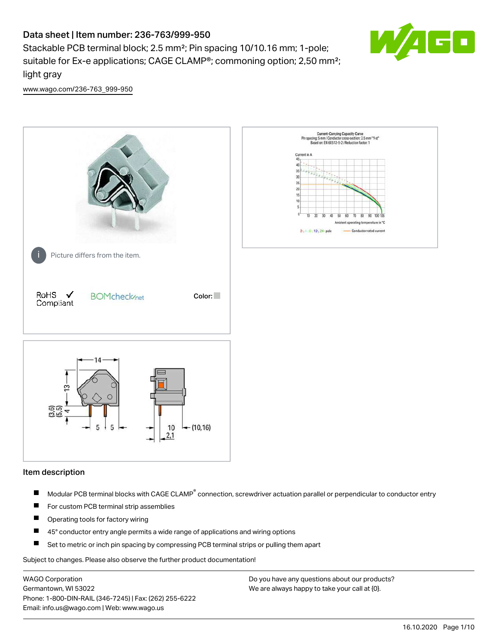# Data sheet | Item number: 236-763/999-950

Stackable PCB terminal block; 2.5 mm²; Pin spacing 10/10.16 mm; 1-pole; suitable for Ex-e applications; CAGE CLAMP®; commoning option; 2,50 mm²; light gray



[www.wago.com/236-763\\_999-950](http://www.wago.com/236-763_999-950)



#### Item description

- Modular PCB terminal blocks with CAGE CLAMP<sup>®</sup> connection, screwdriver actuation parallel or perpendicular to conductor entry П
- $\blacksquare$ For custom PCB terminal strip assemblies
- П Operating tools for factory wiring
- $\blacksquare$ 45° conductor entry angle permits a wide range of applications and wiring options
- П Set to metric or inch pin spacing by compressing PCB terminal strips or pulling them apart

Subject to changes. Please also observe the further product documentation!

WAGO Corporation Germantown, WI 53022 Phone: 1-800-DIN-RAIL (346-7245) | Fax: (262) 255-6222 Email: info.us@wago.com | Web: www.wago.us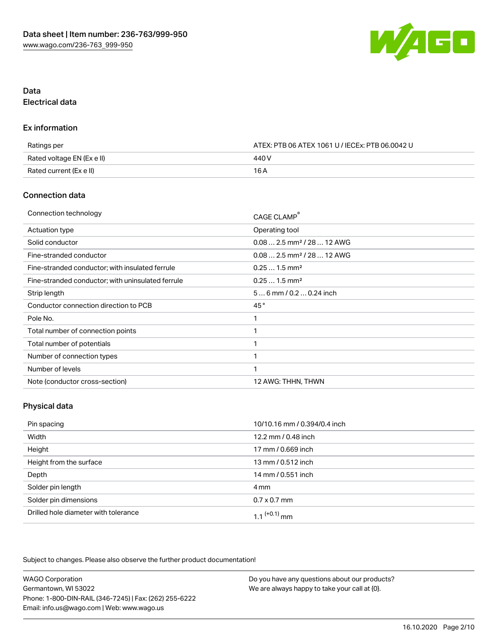

# Data Electrical data

## Ex information

| Ratings per                | ATEX: PTB 06 ATEX 1061 U / IECEx: PTB 06.0042 U |  |
|----------------------------|-------------------------------------------------|--|
| Rated voltage EN (Ex e II) | 440 V                                           |  |
| Rated current (Ex e II)    | 16 A                                            |  |

## Connection data

| Connection technology                             | CAGE CLAMP®                            |
|---------------------------------------------------|----------------------------------------|
| <b>Actuation type</b>                             | Operating tool                         |
| Solid conductor                                   | $0.082.5$ mm <sup>2</sup> / 28  12 AWG |
| Fine-stranded conductor                           | $0.082.5$ mm <sup>2</sup> / 28  12 AWG |
| Fine-stranded conductor; with insulated ferrule   | $0.251.5$ mm <sup>2</sup>              |
| Fine-stranded conductor; with uninsulated ferrule | $0.251.5$ mm <sup>2</sup>              |
| Strip length                                      | $56$ mm $/ 0.20.24$ inch               |
| Conductor connection direction to PCB             | 45°                                    |
| Pole No.                                          |                                        |
| Total number of connection points                 | ◂                                      |
| Total number of potentials                        | 1                                      |
| Number of connection types                        |                                        |
| Number of levels                                  | 1                                      |
| Note (conductor cross-section)                    | 12 AWG: THHN, THWN                     |

# Physical data

| Pin spacing                          | 10/10.16 mm / 0.394/0.4 inch |
|--------------------------------------|------------------------------|
| Width                                | 12.2 mm / 0.48 inch          |
| Height                               | 17 mm / 0.669 inch           |
| Height from the surface              | 13 mm / 0.512 inch           |
| Depth                                | 14 mm / 0.551 inch           |
| Solder pin length                    | 4 mm                         |
| Solder pin dimensions                | $0.7 \times 0.7$ mm          |
| Drilled hole diameter with tolerance | 1.1 $(+0.1)$ mm              |

Subject to changes. Please also observe the further product documentation!

| <b>WAGO Corporation</b>                                | Do you have any questions about our products? |
|--------------------------------------------------------|-----------------------------------------------|
| Germantown, WI 53022                                   | We are always happy to take your call at {0}. |
| Phone: 1-800-DIN-RAIL (346-7245)   Fax: (262) 255-6222 |                                               |
| Email: info.us@wago.com   Web: www.wago.us             |                                               |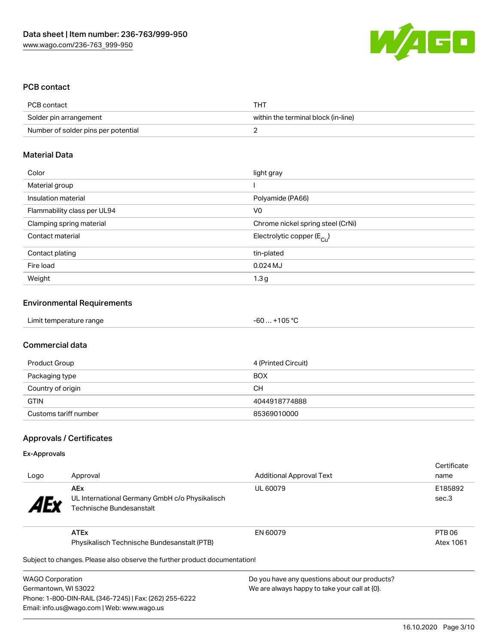

# PCB contact

| PCB contact                         | THT                                 |
|-------------------------------------|-------------------------------------|
| Solder pin arrangement              | within the terminal block (in-line) |
| Number of solder pins per potential |                                     |

#### Material Data

| Color                       | light gray                            |
|-----------------------------|---------------------------------------|
| Material group              |                                       |
| Insulation material         | Polyamide (PA66)                      |
| Flammability class per UL94 | V <sub>0</sub>                        |
| Clamping spring material    | Chrome nickel spring steel (CrNi)     |
| Contact material            | Electrolytic copper $(E_{\text{Cl}})$ |
| Contact plating             | tin-plated                            |
| Fire load                   | $0.024$ MJ                            |
| Weight                      | 1.3 <sub>g</sub>                      |

## Environmental Requirements

| Limit temperature range | $-60+105 °C$ |  |
|-------------------------|--------------|--|
|-------------------------|--------------|--|

## Commercial data

| Product Group         | 4 (Printed Circuit) |
|-----------------------|---------------------|
| Packaging type        | <b>BOX</b>          |
| Country of origin     | CН                  |
| <b>GTIN</b>           | 4044918774888       |
| Customs tariff number | 85369010000         |

## Approvals / Certificates

#### Ex-Approvals

| Logo                  | Approval                                                                                 | <b>Additional Approval Text</b> | Certificate<br>name |
|-----------------------|------------------------------------------------------------------------------------------|---------------------------------|---------------------|
| <b>AE<sub>y</sub></b> | <b>AEx</b><br>UL International Germany GmbH c/o Physikalisch<br>Technische Bundesanstalt | UL 60079                        | E185892<br>sec.3    |
|                       | <b>ATEx</b>                                                                              | EN 60079                        | PTB 06              |
|                       | Physikalisch Technische Bundesanstalt (PTB)                                              |                                 | Atex 1061           |
|                       | Subject to changes. Please also observe the further product documentation!               |                                 |                     |

 $\mathfrak p$ ject to changes. Please also observe the further product documentatio

WAGO Corporation Germantown, WI 53022 Phone: 1-800-DIN-RAIL (346-7245) | Fax: (262) 255-6222 Email: info.us@wago.com | Web: www.wago.us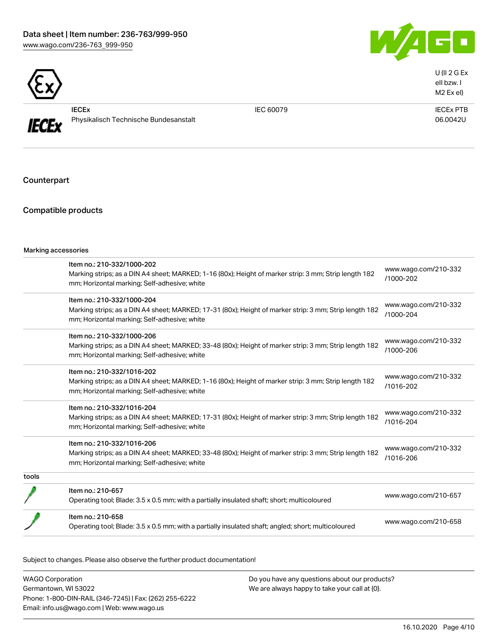



U (II 2 G Ex eII bzw. I M2 Ex eI)



IECEx Physikalisch Technische Bundesanstalt

IEC 60079 IECEx PTB 06.0042U

Counterpart

# Compatible products

|       | Item no.: 210-332/1000-202                                                                             |                                   |
|-------|--------------------------------------------------------------------------------------------------------|-----------------------------------|
|       | Marking strips; as a DIN A4 sheet; MARKED; 1-16 (80x); Height of marker strip: 3 mm; Strip length 182  | www.wago.com/210-332<br>/1000-202 |
|       | mm; Horizontal marking; Self-adhesive; white                                                           |                                   |
|       | Item no.: 210-332/1000-204                                                                             | www.wago.com/210-332              |
|       | Marking strips; as a DIN A4 sheet; MARKED; 17-31 (80x); Height of marker strip: 3 mm; Strip length 182 | /1000-204                         |
|       | mm; Horizontal marking; Self-adhesive; white                                                           |                                   |
|       | Item no.: 210-332/1000-206                                                                             | www.wago.com/210-332              |
|       | Marking strips; as a DIN A4 sheet; MARKED; 33-48 (80x); Height of marker strip: 3 mm; Strip length 182 | /1000-206                         |
|       | mm; Horizontal marking; Self-adhesive; white                                                           |                                   |
|       | Item no.: 210-332/1016-202                                                                             |                                   |
|       | Marking strips; as a DIN A4 sheet; MARKED; 1-16 (80x); Height of marker strip: 3 mm; Strip length 182  | www.wago.com/210-332<br>/1016-202 |
|       | mm; Horizontal marking; Self-adhesive; white                                                           |                                   |
|       | Item no.: 210-332/1016-204                                                                             |                                   |
|       | Marking strips; as a DIN A4 sheet; MARKED; 17-31 (80x); Height of marker strip: 3 mm; Strip length 182 | www.wago.com/210-332<br>/1016-204 |
|       | mm; Horizontal marking; Self-adhesive; white                                                           |                                   |
|       | Item no.: 210-332/1016-206                                                                             |                                   |
|       | Marking strips; as a DIN A4 sheet; MARKED; 33-48 (80x); Height of marker strip: 3 mm; Strip length 182 | www.wago.com/210-332<br>/1016-206 |
|       | mm; Horizontal marking; Self-adhesive; white                                                           |                                   |
| tools |                                                                                                        |                                   |
|       | Item no.: 210-657                                                                                      |                                   |
|       | Operating tool; Blade: 3.5 x 0.5 mm; with a partially insulated shaft; short; multicoloured            | www.wago.com/210-657              |
|       | Item no.: 210-658                                                                                      |                                   |
|       | Operating tool; Blade: 3.5 x 0.5 mm; with a partially insulated shaft; angled; short; multicoloured    | www.wago.com/210-658              |

Subject to changes. Please also observe the further product documentation!

| <b>WAGO Corporation</b>                                | Do you have any questions about our products? |
|--------------------------------------------------------|-----------------------------------------------|
| Germantown, WI 53022                                   | We are always happy to take your call at {0}. |
| Phone: 1-800-DIN-RAIL (346-7245)   Fax: (262) 255-6222 |                                               |
| Email: info.us@wago.com   Web: www.wago.us             |                                               |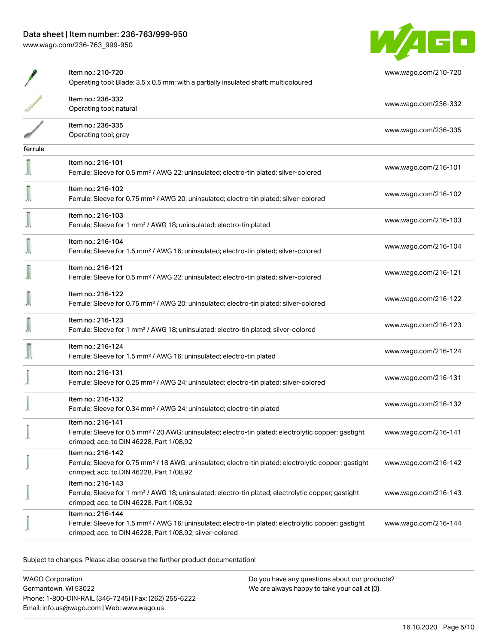

|         | Item no.: 210-720<br>Operating tool; Blade: 3.5 x 0.5 mm; with a partially insulated shaft; multicoloured                                                                                         | www.wago.com/210-720 |
|---------|---------------------------------------------------------------------------------------------------------------------------------------------------------------------------------------------------|----------------------|
|         | Item no.: 236-332<br>Operating tool; natural                                                                                                                                                      | www.wago.com/236-332 |
|         | Item no.: 236-335<br>Operating tool; gray                                                                                                                                                         | www.wago.com/236-335 |
| ferrule |                                                                                                                                                                                                   |                      |
|         | Item no.: 216-101<br>Ferrule; Sleeve for 0.5 mm <sup>2</sup> / AWG 22; uninsulated; electro-tin plated; silver-colored                                                                            | www.wago.com/216-101 |
|         | Item no.: 216-102<br>Ferrule; Sleeve for 0.75 mm <sup>2</sup> / AWG 20; uninsulated; electro-tin plated; silver-colored                                                                           | www.wago.com/216-102 |
|         | Item no.: 216-103<br>Ferrule; Sleeve for 1 mm <sup>2</sup> / AWG 18; uninsulated; electro-tin plated                                                                                              | www.wago.com/216-103 |
|         | Item no.: 216-104<br>Ferrule; Sleeve for 1.5 mm <sup>2</sup> / AWG 16; uninsulated; electro-tin plated; silver-colored                                                                            | www.wago.com/216-104 |
|         | Item no.: 216-121<br>Ferrule; Sleeve for 0.5 mm <sup>2</sup> / AWG 22; uninsulated; electro-tin plated; silver-colored                                                                            | www.wago.com/216-121 |
|         | Item no.: 216-122<br>Ferrule; Sleeve for 0.75 mm <sup>2</sup> / AWG 20; uninsulated; electro-tin plated; silver-colored                                                                           | www.wago.com/216-122 |
|         | Item no.: 216-123<br>Ferrule; Sleeve for 1 mm <sup>2</sup> / AWG 18; uninsulated; electro-tin plated; silver-colored                                                                              | www.wago.com/216-123 |
|         | Item no.: 216-124<br>Ferrule; Sleeve for 1.5 mm <sup>2</sup> / AWG 16; uninsulated; electro-tin plated                                                                                            | www.wago.com/216-124 |
|         | Item no.: 216-131<br>Ferrule; Sleeve for 0.25 mm <sup>2</sup> / AWG 24; uninsulated; electro-tin plated; silver-colored                                                                           | www.wago.com/216-131 |
|         | Item no.: 216-132<br>Ferrule; Sleeve for 0.34 mm <sup>2</sup> / AWG 24; uninsulated; electro-tin plated                                                                                           | www.wago.com/216-132 |
|         | Item no.: 216-141<br>Ferrule; Sleeve for 0.5 mm <sup>2</sup> / 20 AWG; uninsulated; electro-tin plated; electrolytic copper; gastight<br>crimped; acc. to DIN 46228, Part 1/08.92                 | www.wago.com/216-141 |
|         | Item no.: 216-142<br>Ferrule; Sleeve for 0.75 mm <sup>2</sup> / 18 AWG; uninsulated; electro-tin plated; electrolytic copper; gastight<br>crimped; acc. to DIN 46228, Part 1/08.92                | www.wago.com/216-142 |
|         | Item no.: 216-143<br>Ferrule; Sleeve for 1 mm <sup>2</sup> / AWG 18; uninsulated; electro-tin plated; electrolytic copper; gastight<br>crimped; acc. to DIN 46228, Part 1/08.92                   | www.wago.com/216-143 |
|         | Item no.: 216-144<br>Ferrule; Sleeve for 1.5 mm <sup>2</sup> / AWG 16; uninsulated; electro-tin plated; electrolytic copper; gastight<br>crimped; acc. to DIN 46228, Part 1/08.92; silver-colored | www.wago.com/216-144 |

Subject to changes. Please also observe the further product documentation!

WAGO Corporation Germantown, WI 53022 Phone: 1-800-DIN-RAIL (346-7245) | Fax: (262) 255-6222 Email: info.us@wago.com | Web: www.wago.us Do you have any questions about our products? We are always happy to take your call at {0}.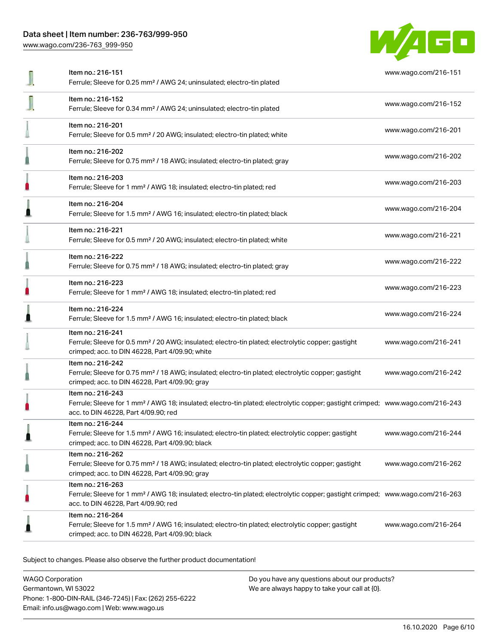# Data sheet | Item number: 236-763/999-950

[www.wago.com/236-763\\_999-950](http://www.wago.com/236-763_999-950)



| Item no.: 216-151<br>Ferrule; Sleeve for 0.25 mm <sup>2</sup> / AWG 24; uninsulated; electro-tin plated                                                                                                 | www.wago.com/216-151 |
|---------------------------------------------------------------------------------------------------------------------------------------------------------------------------------------------------------|----------------------|
| Item no.: 216-152<br>Ferrule; Sleeve for 0.34 mm <sup>2</sup> / AWG 24; uninsulated; electro-tin plated                                                                                                 | www.wago.com/216-152 |
| Item no.: 216-201<br>Ferrule; Sleeve for 0.5 mm <sup>2</sup> / 20 AWG; insulated; electro-tin plated; white                                                                                             | www.wago.com/216-201 |
| Item no.: 216-202<br>Ferrule; Sleeve for 0.75 mm <sup>2</sup> / 18 AWG; insulated; electro-tin plated; gray                                                                                             | www.wago.com/216-202 |
| Item no.: 216-203<br>Ferrule; Sleeve for 1 mm <sup>2</sup> / AWG 18; insulated; electro-tin plated; red                                                                                                 | www.wago.com/216-203 |
| Item no.: 216-204<br>Ferrule; Sleeve for 1.5 mm <sup>2</sup> / AWG 16; insulated; electro-tin plated; black                                                                                             | www.wago.com/216-204 |
| Item no.: 216-221<br>Ferrule; Sleeve for 0.5 mm <sup>2</sup> / 20 AWG; insulated; electro-tin plated; white                                                                                             | www.wago.com/216-221 |
| Item no.: 216-222<br>Ferrule; Sleeve for 0.75 mm <sup>2</sup> / 18 AWG; insulated; electro-tin plated; gray                                                                                             | www.wago.com/216-222 |
| Item no.: 216-223<br>Ferrule; Sleeve for 1 mm <sup>2</sup> / AWG 18; insulated; electro-tin plated; red                                                                                                 | www.wago.com/216-223 |
| Item no.: 216-224<br>Ferrule; Sleeve for 1.5 mm <sup>2</sup> / AWG 16; insulated; electro-tin plated; black                                                                                             | www.wago.com/216-224 |
| Item no.: 216-241<br>Ferrule; Sleeve for 0.5 mm <sup>2</sup> / 20 AWG; insulated; electro-tin plated; electrolytic copper; gastight<br>crimped; acc. to DIN 46228, Part 4/09.90; white                  | www.wago.com/216-241 |
| Item no.: 216-242<br>Ferrule; Sleeve for 0.75 mm <sup>2</sup> / 18 AWG; insulated; electro-tin plated; electrolytic copper; gastight<br>crimped; acc. to DIN 46228, Part 4/09.90; gray                  | www.wago.com/216-242 |
| Item no.: 216-243<br>Ferrule; Sleeve for 1 mm <sup>2</sup> / AWG 18; insulated; electro-tin plated; electrolytic copper; gastight crimped; www.wago.com/216-243<br>acc. to DIN 46228, Part 4/09.90; red |                      |
| Item no.: 216-244<br>Ferrule; Sleeve for 1.5 mm <sup>2</sup> / AWG 16; insulated; electro-tin plated; electrolytic copper; gastight<br>crimped; acc. to DIN 46228, Part 4/09.90; black                  | www.wago.com/216-244 |
| Item no.: 216-262<br>Ferrule; Sleeve for 0.75 mm <sup>2</sup> / 18 AWG; insulated; electro-tin plated; electrolytic copper; gastight<br>crimped; acc. to DIN 46228, Part 4/09.90; gray                  | www.wago.com/216-262 |
| Item no.: 216-263<br>Ferrule; Sleeve for 1 mm <sup>2</sup> / AWG 18; insulated; electro-tin plated; electrolytic copper; gastight crimped; www.wago.com/216-263<br>acc. to DIN 46228, Part 4/09.90; red |                      |
| Item no.: 216-264<br>Ferrule; Sleeve for 1.5 mm <sup>2</sup> / AWG 16; insulated; electro-tin plated; electrolytic copper; gastight<br>crimped; acc. to DIN 46228, Part 4/09.90; black                  | www.wago.com/216-264 |

Subject to changes. Please also observe the further product documentation!

WAGO Corporation Germantown, WI 53022 Phone: 1-800-DIN-RAIL (346-7245) | Fax: (262) 255-6222 Email: info.us@wago.com | Web: www.wago.us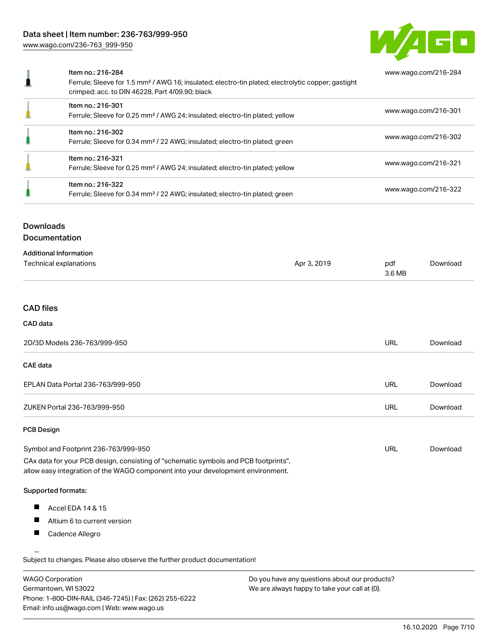

| Item no.: 216-284<br>Ferrule; Sleeve for 1.5 mm <sup>2</sup> / AWG 16; insulated; electro-tin plated; electrolytic copper; gastight<br>crimped; acc. to DIN 46228, Part 4/09.90; black | www.wago.com/216-284 |
|----------------------------------------------------------------------------------------------------------------------------------------------------------------------------------------|----------------------|
| Item no.: 216-301<br>Ferrule; Sleeve for 0.25 mm <sup>2</sup> / AWG 24; insulated; electro-tin plated; yellow                                                                          | www.wago.com/216-301 |
| Item no.: 216-302<br>Ferrule; Sleeve for 0.34 mm <sup>2</sup> / 22 AWG; insulated; electro-tin plated; green                                                                           | www.wago.com/216-302 |
| Item no.: 216-321<br>Ferrule; Sleeve for 0.25 mm <sup>2</sup> / AWG 24; insulated; electro-tin plated; yellow                                                                          | www.wago.com/216-321 |
| Item no.: 216-322<br>Ferrule; Sleeve for 0.34 mm <sup>2</sup> / 22 AWG; insulated; electro-tin plated; green                                                                           | www.wago.com/216-322 |

# Downloads

Documentation

| Additional Information |
|------------------------|
|------------------------|

| Auditional Information<br>Technical explanations | Apr 3, 2019 | pdf<br>Download<br>3.6 MB |  |
|--------------------------------------------------|-------------|---------------------------|--|
|                                                  |             |                           |  |

# CAD files

# CAD data

| 2D/3D Models 236-763/999-950      | URL | Download |
|-----------------------------------|-----|----------|
| CAE data                          |     |          |
| EPLAN Data Portal 236-763/999-950 | URL | Download |
| ZUKEN Portal 236-763/999-950      | URL | Download |
| <b>PCB Design</b>                 |     |          |

| Symbol and Footprint 236-763/999-950                                                | URL | Download |
|-------------------------------------------------------------------------------------|-----|----------|
| CAx data for your PCB design, consisting of "schematic symbols and PCB footprints", |     |          |

allow easy integration of the WAGO component into your development environment.

## Supported formats:

- $\blacksquare$ Accel EDA 14 & 15
- $\blacksquare$ Altium 6 to current version
- $\blacksquare$ Cadence Allegro

.<br>Subject to changes. Please also observe the further product documentation!

| <b>WAGO Corporation</b>                                | Do you have any questions about our products? |
|--------------------------------------------------------|-----------------------------------------------|
| Germantown, WI 53022                                   | We are always happy to take your call at {0}. |
| Phone: 1-800-DIN-RAIL (346-7245)   Fax: (262) 255-6222 |                                               |
| Email: info.us@wago.com   Web: www.wago.us             |                                               |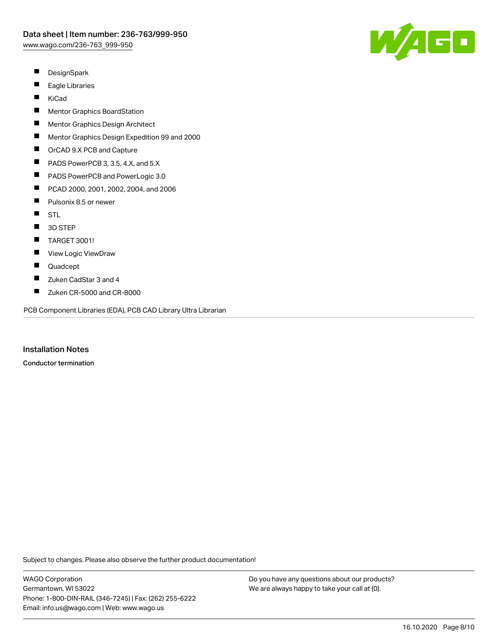

- $\blacksquare$ **DesignSpark**
- $\blacksquare$ Eagle Libraries
- $\blacksquare$ KiCad
- $\blacksquare$ Mentor Graphics BoardStation
- П Mentor Graphics Design Architect
- $\blacksquare$ Mentor Graphics Design Expedition 99 and 2000
- $\blacksquare$ OrCAD 9.X PCB and Capture
- $\blacksquare$ PADS PowerPCB 3, 3.5, 4.X, and 5.X
- $\blacksquare$ PADS PowerPCB and PowerLogic 3.0
- $\blacksquare$ PCAD 2000, 2001, 2002, 2004, and 2006
- $\blacksquare$ Pulsonix 8.5 or newer
- $\blacksquare$ STL
- $\blacksquare$ 3D STEP
- $\blacksquare$ TARGET 3001!
- $\blacksquare$ View Logic ViewDraw
- $\blacksquare$ Quadcept
- П Zuken CadStar 3 and 4
- $\blacksquare$ Zuken CR-5000 and CR-8000

PCB Component Libraries (EDA), PCB CAD Library Ultra Librarian

Installation Notes

Conductor termination

Subject to changes. Please also observe the further product documentation!

WAGO Corporation Germantown, WI 53022 Phone: 1-800-DIN-RAIL (346-7245) | Fax: (262) 255-6222 Email: info.us@wago.com | Web: www.wago.us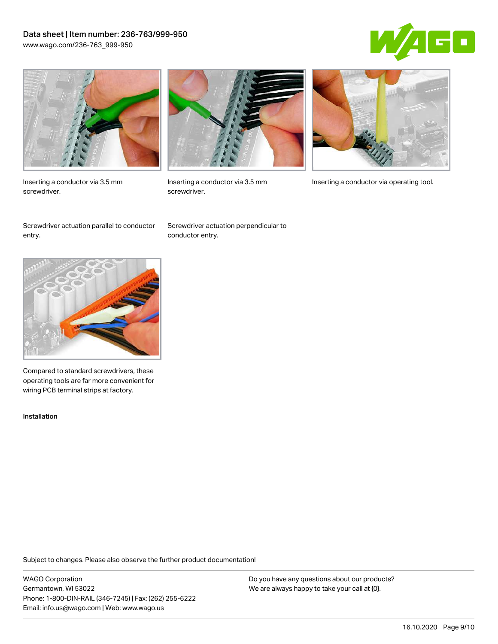# Data sheet | Item number: 236-763/999-950 [www.wago.com/236-763\\_999-950](http://www.wago.com/236-763_999-950)





Inserting a conductor via 3.5 mm screwdriver.



screwdriver.

Inserting a conductor via 3.5 mm Inserting a conductor via operating tool.

Screwdriver actuation parallel to conductor entry.

Screwdriver actuation perpendicular to conductor entry.



Compared to standard screwdrivers, these operating tools are far more convenient for wiring PCB terminal strips at factory.

Installation

Subject to changes. Please also observe the further product documentation!

WAGO Corporation Germantown, WI 53022 Phone: 1-800-DIN-RAIL (346-7245) | Fax: (262) 255-6222 Email: info.us@wago.com | Web: www.wago.us